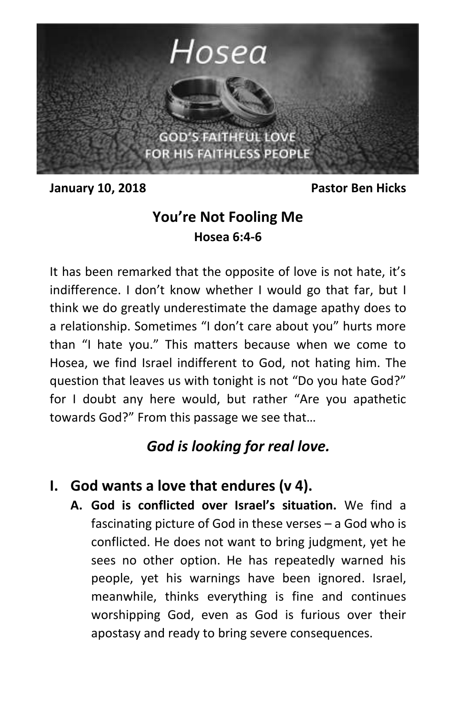

**January 10, 2018 Pastor Ben Hicks**

## **You're Not Fooling Me Hosea 6:4-6**

It has been remarked that the opposite of love is not hate, it's indifference. I don't know whether I would go that far, but I think we do greatly underestimate the damage apathy does to a relationship. Sometimes "I don't care about you" hurts more than "I hate you." This matters because when we come to Hosea, we find Israel indifferent to God, not hating him. The question that leaves us with tonight is not "Do you hate God?" for I doubt any here would, but rather "Are you apathetic towards God?" From this passage we see that…

# *God is looking for real love.*

### **I. God wants a love that endures (v 4).**

**A. God is conflicted over Israel's situation.** We find a fascinating picture of God in these verses – a God who is conflicted. He does not want to bring judgment, yet he sees no other option. He has repeatedly warned his people, yet his warnings have been ignored. Israel, meanwhile, thinks everything is fine and continues worshipping God, even as God is furious over their apostasy and ready to bring severe consequences.